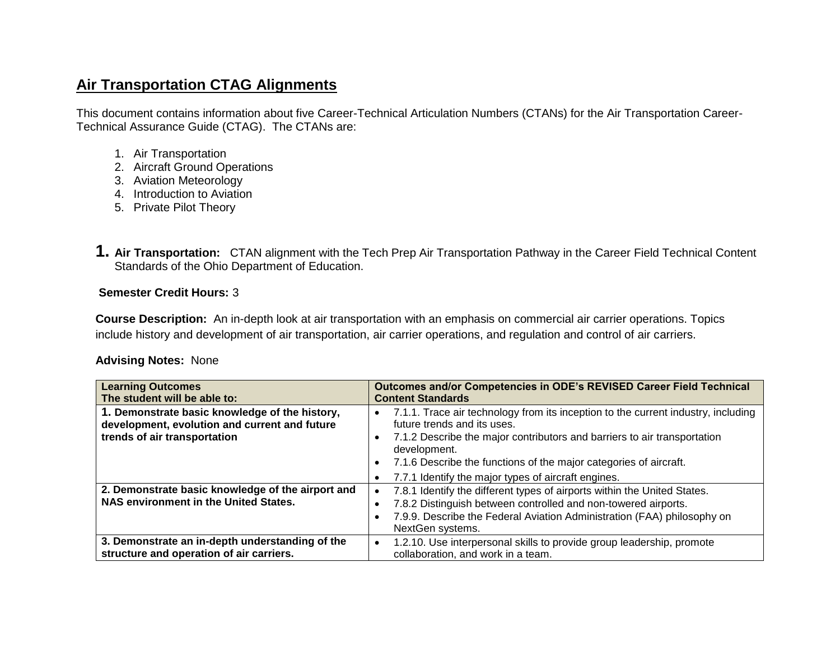# **Air Transportation CTAG Alignments**

This document contains information about five Career-Technical Articulation Numbers (CTANs) for the Air Transportation Career-Technical Assurance Guide (CTAG). The CTANs are:

- 1. Air Transportation
- 2. Aircraft Ground Operations
- 3. Aviation Meteorology
- 4. Introduction to Aviation
- 5. Private Pilot Theory
- **1. Air Transportation:** CTAN alignment with the Tech Prep Air Transportation Pathway in the Career Field Technical Content Standards of the Ohio Department of Education.

# **Semester Credit Hours:** 3

**Course Description:** An in-depth look at air transportation with an emphasis on commercial air carrier operations. Topics include history and development of air transportation, air carrier operations, and regulation and control of air carriers.

### **Advising Notes:** None

| <b>Learning Outcomes</b>                                                                                                        | Outcomes and/or Competencies in ODE's REVISED Career Field Technical                                                                                                                                                                      |
|---------------------------------------------------------------------------------------------------------------------------------|-------------------------------------------------------------------------------------------------------------------------------------------------------------------------------------------------------------------------------------------|
| The student will be able to:                                                                                                    | <b>Content Standards</b>                                                                                                                                                                                                                  |
| 1. Demonstrate basic knowledge of the history,<br>development, evolution and current and future<br>trends of air transportation | 7.1.1. Trace air technology from its inception to the current industry, including<br>future trends and its uses.<br>7.1.2 Describe the major contributors and barriers to air transportation<br>development.                              |
|                                                                                                                                 | 7.1.6 Describe the functions of the major categories of aircraft.                                                                                                                                                                         |
|                                                                                                                                 | 7.7.1 Identify the major types of aircraft engines.                                                                                                                                                                                       |
| 2. Demonstrate basic knowledge of the airport and<br>NAS environment in the United States.                                      | 7.8.1 Identify the different types of airports within the United States.<br>7.8.2 Distinguish between controlled and non-towered airports.<br>7.9.9. Describe the Federal Aviation Administration (FAA) philosophy on<br>NextGen systems. |
| 3. Demonstrate an in-depth understanding of the<br>structure and operation of air carriers.                                     | 1.2.10. Use interpersonal skills to provide group leadership, promote<br>collaboration, and work in a team.                                                                                                                               |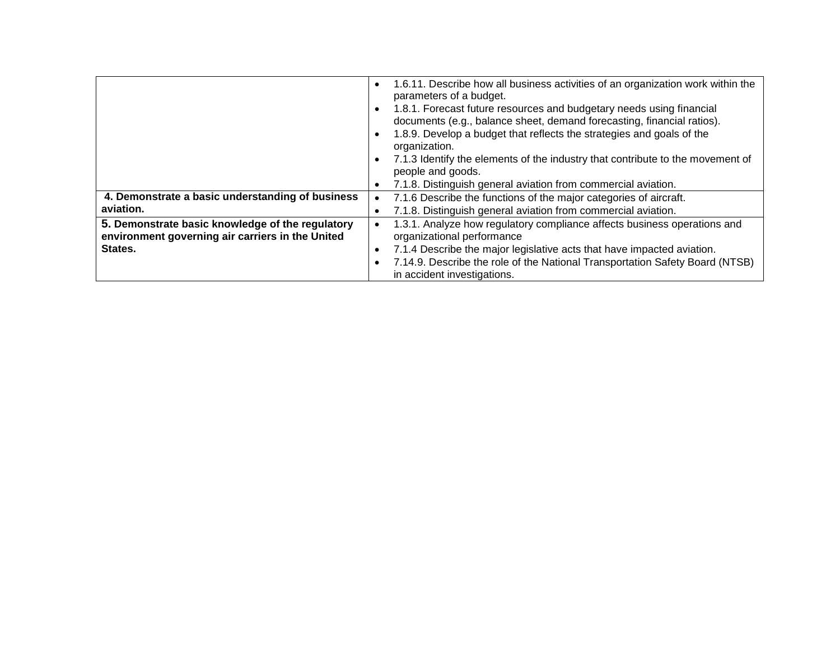|                                                                                                                 | 1.6.11. Describe how all business activities of an organization work within the<br>$\bullet$<br>parameters of a budget.<br>1.8.1. Forecast future resources and budgetary needs using financial<br>$\bullet$<br>documents (e.g., balance sheet, demand forecasting, financial ratios).<br>1.8.9. Develop a budget that reflects the strategies and goals of the<br>$\bullet$<br>organization.<br>7.1.3 Identify the elements of the industry that contribute to the movement of<br>$\bullet$<br>people and goods. |
|-----------------------------------------------------------------------------------------------------------------|-------------------------------------------------------------------------------------------------------------------------------------------------------------------------------------------------------------------------------------------------------------------------------------------------------------------------------------------------------------------------------------------------------------------------------------------------------------------------------------------------------------------|
| 4. Demonstrate a basic understanding of business<br>aviation.                                                   | 7.1.8. Distinguish general aviation from commercial aviation.<br>$\bullet$<br>7.1.6 Describe the functions of the major categories of aircraft.<br>7.1.8. Distinguish general aviation from commercial aviation.<br>$\bullet$                                                                                                                                                                                                                                                                                     |
| 5. Demonstrate basic knowledge of the regulatory<br>environment governing air carriers in the United<br>States. | 1.3.1. Analyze how regulatory compliance affects business operations and<br>organizational performance<br>7.1.4 Describe the major legislative acts that have impacted aviation.<br>$\bullet$<br>7.14.9. Describe the role of the National Transportation Safety Board (NTSB)<br>$\bullet$<br>in accident investigations.                                                                                                                                                                                         |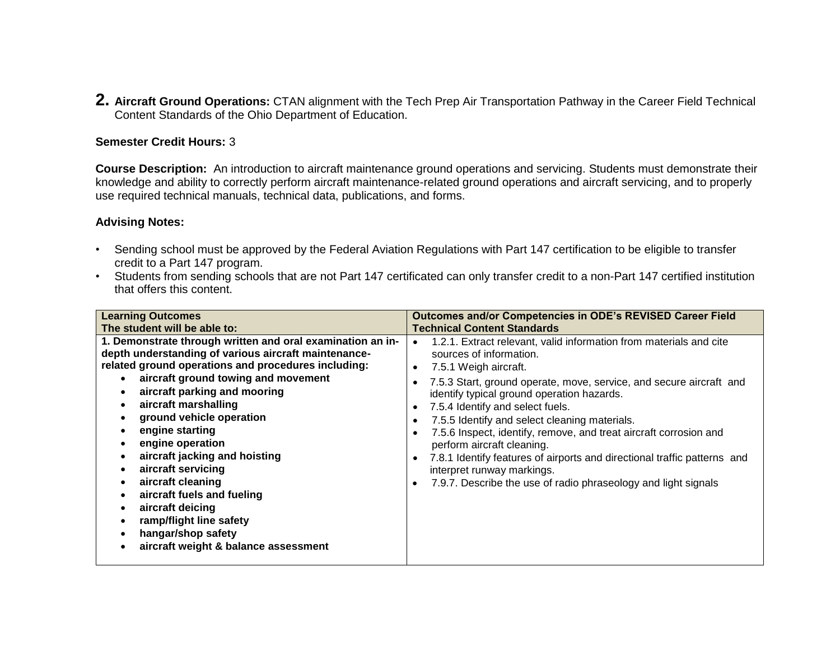**2. Aircraft Ground Operations:** CTAN alignment with the Tech Prep Air Transportation Pathway in the Career Field Technical Content Standards of the Ohio Department of Education.

## **Semester Credit Hours:** 3

**Course Description:** An introduction to aircraft maintenance ground operations and servicing. Students must demonstrate their knowledge and ability to correctly perform aircraft maintenance-related ground operations and aircraft servicing, and to properly use required technical manuals, technical data, publications, and forms.

#### **Advising Notes:**

- Sending school must be approved by the Federal Aviation Regulations with Part 147 certification to be eligible to transfer credit to a Part 147 program.
- Students from sending schools that are not Part 147 certificated can only transfer credit to a non-Part 147 certified institution that offers this content.

| <b>Learning Outcomes</b>                                                                                                                                                                                                                                                                                                                                                                                                                                                                                                                                                                                                                                                                                                                                                                     | Outcomes and/or Competencies in ODE's REVISED Career Field                                                                                                                                                                                                                                                                                                                                                                                                  |
|----------------------------------------------------------------------------------------------------------------------------------------------------------------------------------------------------------------------------------------------------------------------------------------------------------------------------------------------------------------------------------------------------------------------------------------------------------------------------------------------------------------------------------------------------------------------------------------------------------------------------------------------------------------------------------------------------------------------------------------------------------------------------------------------|-------------------------------------------------------------------------------------------------------------------------------------------------------------------------------------------------------------------------------------------------------------------------------------------------------------------------------------------------------------------------------------------------------------------------------------------------------------|
|                                                                                                                                                                                                                                                                                                                                                                                                                                                                                                                                                                                                                                                                                                                                                                                              |                                                                                                                                                                                                                                                                                                                                                                                                                                                             |
| <b>Technical Content Standards</b><br>The student will be able to:<br>1. Demonstrate through written and oral examination an in-<br>depth understanding of various aircraft maintenance-<br>sources of information.<br>related ground operations and procedures including:<br>7.5.1 Weigh aircraft.<br>aircraft ground towing and movement<br>aircraft parking and mooring<br>aircraft marshalling<br>7.5.4 Identify and select fuels.<br>ground vehicle operation<br>engine starting<br>engine operation<br>perform aircraft cleaning.<br>aircraft jacking and hoisting<br>aircraft servicing<br>interpret runway markings.<br>aircraft cleaning<br>aircraft fuels and fueling<br>aircraft deicing<br>ramp/flight line safety<br>hangar/shop safety<br>aircraft weight & balance assessment | 1.2.1. Extract relevant, valid information from materials and cite<br>7.5.3 Start, ground operate, move, service, and secure aircraft and<br>identify typical ground operation hazards.<br>7.5.5 Identify and select cleaning materials.<br>7.5.6 Inspect, identify, remove, and treat aircraft corrosion and<br>7.8.1 Identify features of airports and directional traffic patterns and<br>7.9.7. Describe the use of radio phraseology and light signals |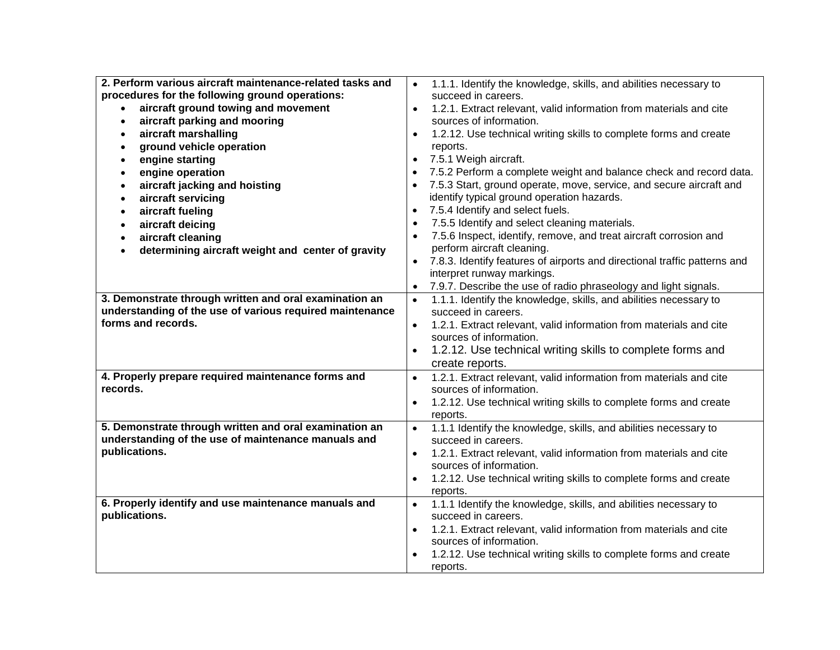| 2. Perform various aircraft maintenance-related tasks and                      | 1.1.1. Identify the knowledge, skills, and abilities necessary to                                          |
|--------------------------------------------------------------------------------|------------------------------------------------------------------------------------------------------------|
| procedures for the following ground operations:                                | succeed in careers.                                                                                        |
| aircraft ground towing and movement                                            | 1.2.1. Extract relevant, valid information from materials and cite<br>$\bullet$                            |
| aircraft parking and mooring<br>$\bullet$                                      | sources of information.                                                                                    |
| aircraft marshalling<br>$\bullet$                                              | 1.2.12. Use technical writing skills to complete forms and create<br>$\bullet$                             |
| ground vehicle operation<br>٠                                                  | reports.                                                                                                   |
| engine starting<br>$\bullet$                                                   | 7.5.1 Weigh aircraft.                                                                                      |
| engine operation<br>$\bullet$                                                  | 7.5.2 Perform a complete weight and balance check and record data.                                         |
| aircraft jacking and hoisting<br>$\bullet$                                     | 7.5.3 Start, ground operate, move, service, and secure aircraft and                                        |
| aircraft servicing<br>$\bullet$                                                | identify typical ground operation hazards.                                                                 |
| aircraft fueling<br>$\bullet$                                                  | 7.5.4 Identify and select fuels.<br>$\bullet$                                                              |
| aircraft deicing<br>$\bullet$                                                  | 7.5.5 Identify and select cleaning materials.<br>$\bullet$                                                 |
| aircraft cleaning<br>$\bullet$                                                 | 7.5.6 Inspect, identify, remove, and treat aircraft corrosion and                                          |
| determining aircraft weight and center of gravity                              | perform aircraft cleaning.                                                                                 |
|                                                                                | 7.8.3. Identify features of airports and directional traffic patterns and                                  |
|                                                                                | interpret runway markings.                                                                                 |
|                                                                                | 7.9.7. Describe the use of radio phraseology and light signals.                                            |
| 3. Demonstrate through written and oral examination an                         | 1.1.1. Identify the knowledge, skills, and abilities necessary to                                          |
| understanding of the use of various required maintenance<br>forms and records. | succeed in careers.                                                                                        |
|                                                                                | 1.2.1. Extract relevant, valid information from materials and cite<br>$\bullet$<br>sources of information. |
|                                                                                |                                                                                                            |
|                                                                                | 1.2.12. Use technical writing skills to complete forms and<br>$\bullet$                                    |
| 4. Properly prepare required maintenance forms and                             | create reports.<br>1.2.1. Extract relevant, valid information from materials and cite<br>$\bullet$         |
| records.                                                                       | sources of information.                                                                                    |
|                                                                                | 1.2.12. Use technical writing skills to complete forms and create                                          |
|                                                                                | reports.                                                                                                   |
| 5. Demonstrate through written and oral examination an                         | 1.1.1 Identify the knowledge, skills, and abilities necessary to                                           |
| understanding of the use of maintenance manuals and                            | succeed in careers.                                                                                        |
| publications.                                                                  | 1.2.1. Extract relevant, valid information from materials and cite<br>$\bullet$                            |
|                                                                                | sources of information.                                                                                    |
|                                                                                | 1.2.12. Use technical writing skills to complete forms and create<br>$\bullet$                             |
|                                                                                | reports.                                                                                                   |
| 6. Properly identify and use maintenance manuals and                           | 1.1.1 Identify the knowledge, skills, and abilities necessary to<br>$\bullet$                              |
| publications.                                                                  | succeed in careers.                                                                                        |
|                                                                                | 1.2.1. Extract relevant, valid information from materials and cite                                         |
|                                                                                | sources of information.                                                                                    |
|                                                                                | 1.2.12. Use technical writing skills to complete forms and create                                          |
|                                                                                | reports.                                                                                                   |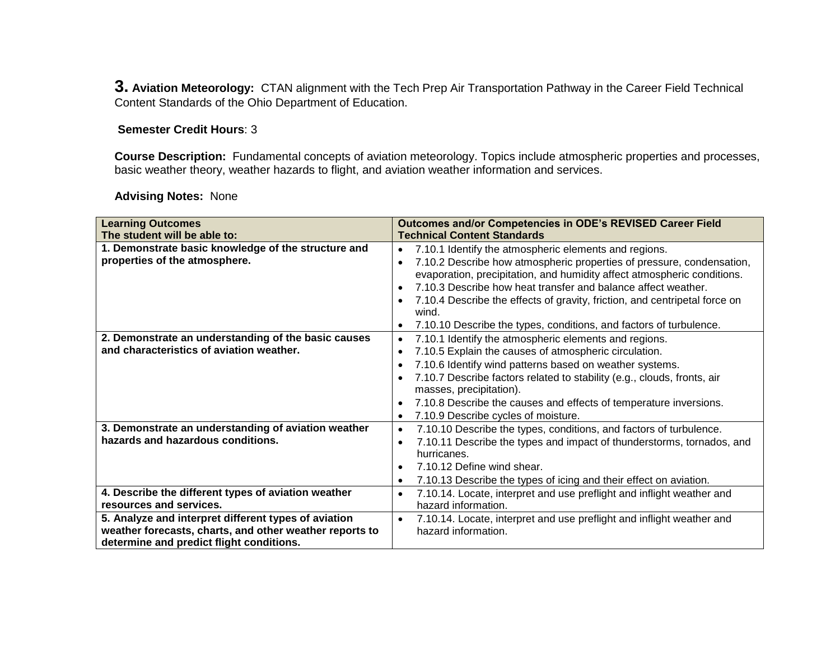**3. Aviation Meteorology:** CTAN alignment with the Tech Prep Air Transportation Pathway in the Career Field Technical Content Standards of the Ohio Department of Education.

# **Semester Credit Hours**: 3

**Course Description:** Fundamental concepts of aviation meteorology. Topics include atmospheric properties and processes, basic weather theory, weather hazards to flight, and aviation weather information and services.

# **Advising Notes:** None

| <b>Learning Outcomes</b>                                | Outcomes and/or Competencies in ODE's REVISED Career Field                           |
|---------------------------------------------------------|--------------------------------------------------------------------------------------|
| The student will be able to:                            | <b>Technical Content Standards</b>                                                   |
| 1. Demonstrate basic knowledge of the structure and     | 7.10.1 Identify the atmospheric elements and regions.<br>$\bullet$                   |
| properties of the atmosphere.                           | 7.10.2 Describe how atmospheric properties of pressure, condensation,<br>$\bullet$   |
|                                                         | evaporation, precipitation, and humidity affect atmospheric conditions.              |
|                                                         | 7.10.3 Describe how heat transfer and balance affect weather.                        |
|                                                         | 7.10.4 Describe the effects of gravity, friction, and centripetal force on           |
|                                                         | wind.                                                                                |
|                                                         | 7.10.10 Describe the types, conditions, and factors of turbulence.                   |
| 2. Demonstrate an understanding of the basic causes     | 7.10.1 Identify the atmospheric elements and regions.<br>$\bullet$                   |
| and characteristics of aviation weather.                | 7.10.5 Explain the causes of atmospheric circulation.<br>$\bullet$                   |
|                                                         | 7.10.6 Identify wind patterns based on weather systems.<br>$\bullet$                 |
|                                                         | 7.10.7 Describe factors related to stability (e.g., clouds, fronts, air<br>$\bullet$ |
|                                                         | masses, precipitation).                                                              |
|                                                         | 7.10.8 Describe the causes and effects of temperature inversions.                    |
|                                                         | 7.10.9 Describe cycles of moisture.<br>$\bullet$                                     |
| 3. Demonstrate an understanding of aviation weather     | 7.10.10 Describe the types, conditions, and factors of turbulence.<br>$\bullet$      |
| hazards and hazardous conditions.                       | 7.10.11 Describe the types and impact of thunderstorms, tornados, and                |
|                                                         | hurricanes.                                                                          |
|                                                         | 7.10.12 Define wind shear.<br>$\bullet$                                              |
|                                                         | 7.10.13 Describe the types of icing and their effect on aviation.<br>$\bullet$       |
| 4. Describe the different types of aviation weather     | 7.10.14. Locate, interpret and use preflight and inflight weather and<br>$\bullet$   |
| resources and services.                                 | hazard information.                                                                  |
| 5. Analyze and interpret different types of aviation    | 7.10.14. Locate, interpret and use preflight and inflight weather and<br>$\bullet$   |
| weather forecasts, charts, and other weather reports to | hazard information.                                                                  |
| determine and predict flight conditions.                |                                                                                      |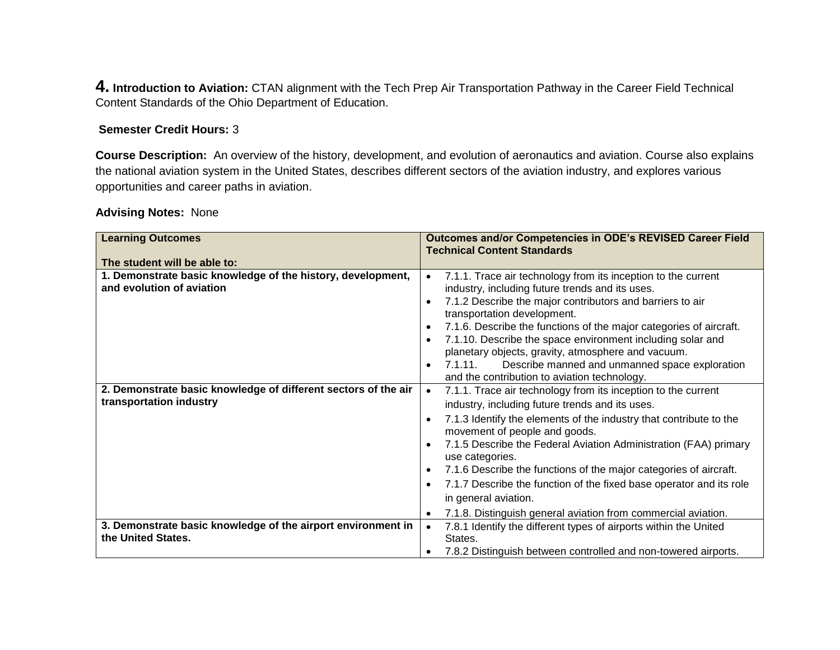**4. Introduction to Aviation:** CTAN alignment with the Tech Prep Air Transportation Pathway in the Career Field Technical Content Standards of the Ohio Department of Education.

# **Semester Credit Hours:** 3

**Course Description:** An overview of the history, development, and evolution of aeronautics and aviation. Course also explains the national aviation system in the United States, describes different sectors of the aviation industry, and explores various opportunities and career paths in aviation.

# **Advising Notes:** None

| <b>Learning Outcomes</b>                                                                  | Outcomes and/or Competencies in ODE's REVISED Career Field<br><b>Technical Content Standards</b>                                                                                                                                                                                                                                                                                                                                                                                                                        |
|-------------------------------------------------------------------------------------------|-------------------------------------------------------------------------------------------------------------------------------------------------------------------------------------------------------------------------------------------------------------------------------------------------------------------------------------------------------------------------------------------------------------------------------------------------------------------------------------------------------------------------|
| The student will be able to:                                                              |                                                                                                                                                                                                                                                                                                                                                                                                                                                                                                                         |
| 1. Demonstrate basic knowledge of the history, development,<br>and evolution of aviation  | 7.1.1. Trace air technology from its inception to the current<br>$\bullet$<br>industry, including future trends and its uses.<br>7.1.2 Describe the major contributors and barriers to air<br>$\bullet$<br>transportation development.<br>7.1.6. Describe the functions of the major categories of aircraft.<br>$\bullet$<br>7.1.10. Describe the space environment including solar and<br>planetary objects, gravity, atmosphere and vacuum.<br>Describe manned and unmanned space exploration<br>7.1.11.<br>$\bullet$ |
|                                                                                           | and the contribution to aviation technology.                                                                                                                                                                                                                                                                                                                                                                                                                                                                            |
| 2. Demonstrate basic knowledge of different sectors of the air<br>transportation industry | 7.1.1. Trace air technology from its inception to the current<br>$\bullet$<br>industry, including future trends and its uses.                                                                                                                                                                                                                                                                                                                                                                                           |
|                                                                                           | 7.1.3 Identify the elements of the industry that contribute to the<br>$\bullet$<br>movement of people and goods.                                                                                                                                                                                                                                                                                                                                                                                                        |
|                                                                                           | 7.1.5 Describe the Federal Aviation Administration (FAA) primary<br>use categories.                                                                                                                                                                                                                                                                                                                                                                                                                                     |
|                                                                                           | 7.1.6 Describe the functions of the major categories of aircraft.<br>$\bullet$                                                                                                                                                                                                                                                                                                                                                                                                                                          |
|                                                                                           | 7.1.7 Describe the function of the fixed base operator and its role<br>$\bullet$                                                                                                                                                                                                                                                                                                                                                                                                                                        |
|                                                                                           | in general aviation.                                                                                                                                                                                                                                                                                                                                                                                                                                                                                                    |
|                                                                                           | 7.1.8. Distinguish general aviation from commercial aviation.<br>$\bullet$                                                                                                                                                                                                                                                                                                                                                                                                                                              |
| 3. Demonstrate basic knowledge of the airport environment in                              | 7.8.1 Identify the different types of airports within the United<br>$\bullet$                                                                                                                                                                                                                                                                                                                                                                                                                                           |
| the United States.                                                                        | States.                                                                                                                                                                                                                                                                                                                                                                                                                                                                                                                 |
|                                                                                           | 7.8.2 Distinguish between controlled and non-towered airports.                                                                                                                                                                                                                                                                                                                                                                                                                                                          |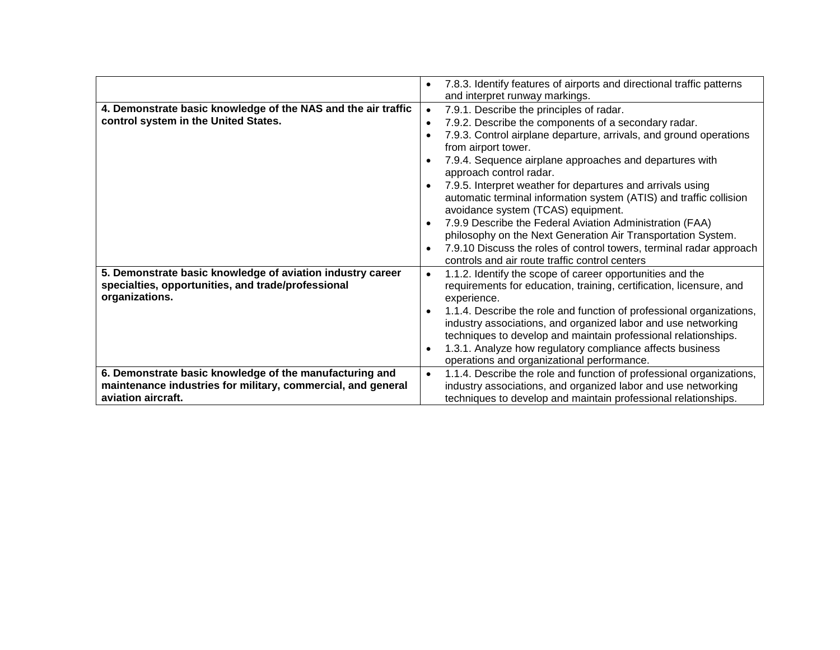|                                                                                                                                    | 7.8.3. Identify features of airports and directional traffic patterns<br>$\bullet$                                                                                                                      |
|------------------------------------------------------------------------------------------------------------------------------------|---------------------------------------------------------------------------------------------------------------------------------------------------------------------------------------------------------|
|                                                                                                                                    | and interpret runway markings.                                                                                                                                                                          |
| 4. Demonstrate basic knowledge of the NAS and the air traffic                                                                      | 7.9.1. Describe the principles of radar.<br>$\bullet$                                                                                                                                                   |
| control system in the United States.                                                                                               | 7.9.2. Describe the components of a secondary radar.<br>$\bullet$                                                                                                                                       |
|                                                                                                                                    | 7.9.3. Control airplane departure, arrivals, and ground operations<br>from airport tower.                                                                                                               |
|                                                                                                                                    | 7.9.4. Sequence airplane approaches and departures with<br>approach control radar.                                                                                                                      |
|                                                                                                                                    | 7.9.5. Interpret weather for departures and arrivals using<br>automatic terminal information system (ATIS) and traffic collision<br>avoidance system (TCAS) equipment.                                  |
|                                                                                                                                    | 7.9.9 Describe the Federal Aviation Administration (FAA)<br>$\bullet$                                                                                                                                   |
|                                                                                                                                    | philosophy on the Next Generation Air Transportation System.                                                                                                                                            |
|                                                                                                                                    | 7.9.10 Discuss the roles of control towers, terminal radar approach                                                                                                                                     |
|                                                                                                                                    | controls and air route traffic control centers                                                                                                                                                          |
| 5. Demonstrate basic knowledge of aviation industry career<br>specialties, opportunities, and trade/professional<br>organizations. | 1.1.2. Identify the scope of career opportunities and the<br>$\bullet$<br>requirements for education, training, certification, licensure, and<br>experience.                                            |
|                                                                                                                                    | 1.1.4. Describe the role and function of professional organizations,<br>industry associations, and organized labor and use networking<br>techniques to develop and maintain professional relationships. |
|                                                                                                                                    | 1.3.1. Analyze how regulatory compliance affects business<br>operations and organizational performance.                                                                                                 |
| 6. Demonstrate basic knowledge of the manufacturing and                                                                            | 1.1.4. Describe the role and function of professional organizations,<br>$\bullet$                                                                                                                       |
| maintenance industries for military, commercial, and general                                                                       | industry associations, and organized labor and use networking                                                                                                                                           |
| aviation aircraft.                                                                                                                 | techniques to develop and maintain professional relationships.                                                                                                                                          |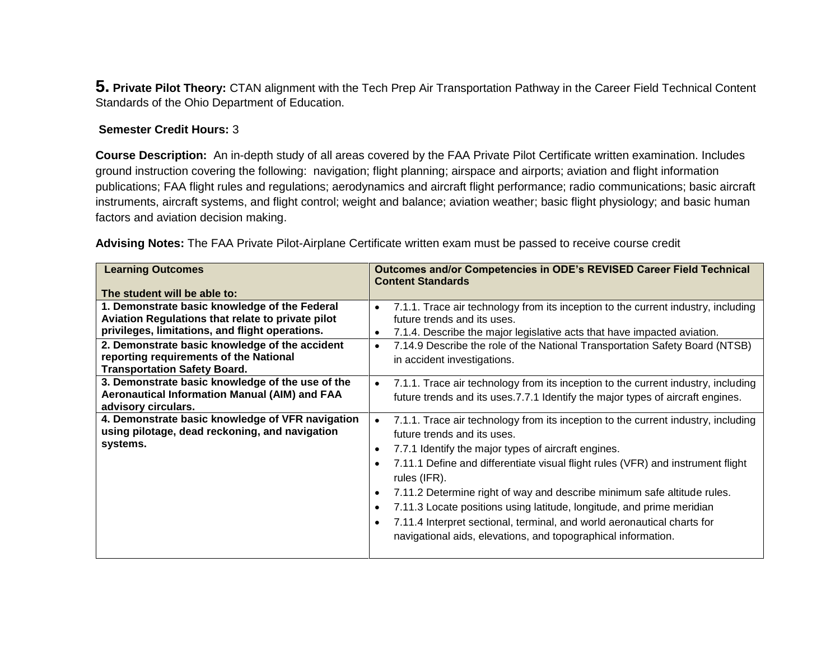**5. Private Pilot Theory:** CTAN alignment with the Tech Prep Air Transportation Pathway in the Career Field Technical Content Standards of the Ohio Department of Education.

# **Semester Credit Hours:** 3

**Course Description:** An in-depth study of all areas covered by the FAA Private Pilot Certificate written examination. Includes ground instruction covering the following: navigation; flight planning; airspace and airports; aviation and flight information publications; FAA flight rules and regulations; aerodynamics and aircraft flight performance; radio communications; basic aircraft instruments, aircraft systems, and flight control; weight and balance; aviation weather; basic flight physiology; and basic human factors and aviation decision making.

**Advising Notes:** The FAA Private Pilot-Airplane Certificate written exam must be passed to receive course credit

| <b>Learning Outcomes</b>                                                                                                                                                                                                                                                                                                                                                                                             | <b>Outcomes and/or Competencies in ODE's REVISED Career Field Technical</b><br><b>Content Standards</b>                                                                                                                                                                                                                                                                                                                                                                                                                                                                                                                                                  |
|----------------------------------------------------------------------------------------------------------------------------------------------------------------------------------------------------------------------------------------------------------------------------------------------------------------------------------------------------------------------------------------------------------------------|----------------------------------------------------------------------------------------------------------------------------------------------------------------------------------------------------------------------------------------------------------------------------------------------------------------------------------------------------------------------------------------------------------------------------------------------------------------------------------------------------------------------------------------------------------------------------------------------------------------------------------------------------------|
| The student will be able to:                                                                                                                                                                                                                                                                                                                                                                                         |                                                                                                                                                                                                                                                                                                                                                                                                                                                                                                                                                                                                                                                          |
| 1. Demonstrate basic knowledge of the Federal<br>Aviation Regulations that relate to private pilot<br>privileges, limitations, and flight operations.<br>2. Demonstrate basic knowledge of the accident<br>reporting requirements of the National<br><b>Transportation Safety Board.</b><br>3. Demonstrate basic knowledge of the use of the<br>Aeronautical Information Manual (AIM) and FAA<br>advisory circulars. | 7.1.1. Trace air technology from its inception to the current industry, including<br>$\bullet$<br>future trends and its uses.<br>7.1.4. Describe the major legislative acts that have impacted aviation.<br>$\bullet$<br>7.14.9 Describe the role of the National Transportation Safety Board (NTSB)<br>$\bullet$<br>in accident investigations.<br>7.1.1. Trace air technology from its inception to the current industry, including<br>$\bullet$<br>future trends and its uses.7.7.1 Identify the major types of aircraft engines.                                                                                                                     |
| 4. Demonstrate basic knowledge of VFR navigation<br>using pilotage, dead reckoning, and navigation<br>systems.                                                                                                                                                                                                                                                                                                       | 7.1.1. Trace air technology from its inception to the current industry, including<br>$\bullet$<br>future trends and its uses.<br>7.7.1 Identify the major types of aircraft engines.<br>$\bullet$<br>7.11.1 Define and differentiate visual flight rules (VFR) and instrument flight<br>$\bullet$<br>rules (IFR).<br>7.11.2 Determine right of way and describe minimum safe altitude rules.<br>$\bullet$<br>7.11.3 Locate positions using latitude, longitude, and prime meridian<br>$\bullet$<br>7.11.4 Interpret sectional, terminal, and world aeronautical charts for<br>$\bullet$<br>navigational aids, elevations, and topographical information. |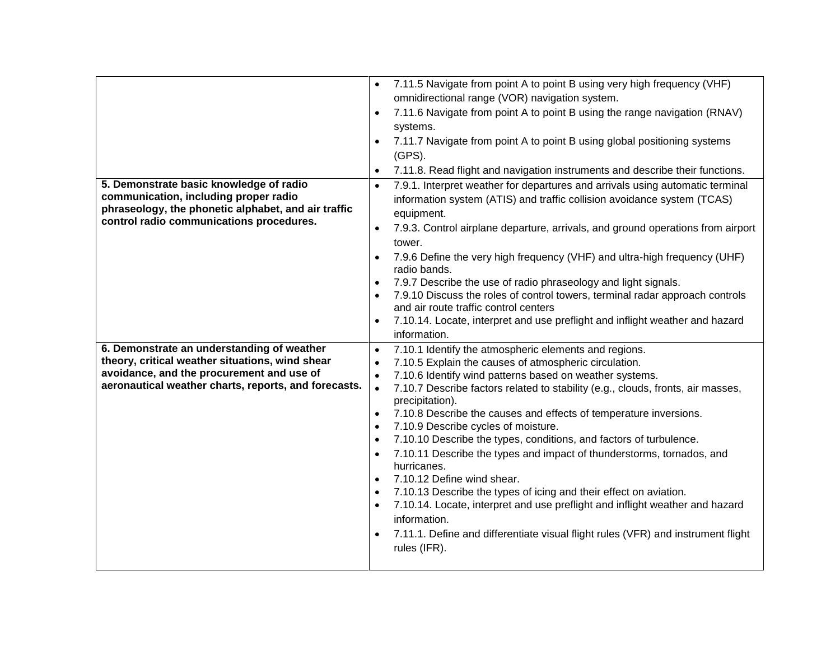|                                                                                                   | 7.11.5 Navigate from point A to point B using very high frequency (VHF)<br>$\bullet$                                               |
|---------------------------------------------------------------------------------------------------|------------------------------------------------------------------------------------------------------------------------------------|
|                                                                                                   | omnidirectional range (VOR) navigation system.                                                                                     |
|                                                                                                   | 7.11.6 Navigate from point A to point B using the range navigation (RNAV)<br>$\bullet$                                             |
|                                                                                                   | systems.                                                                                                                           |
|                                                                                                   | 7.11.7 Navigate from point A to point B using global positioning systems<br>$\bullet$<br>$(GPS)$ .                                 |
|                                                                                                   | 7.11.8. Read flight and navigation instruments and describe their functions.<br>$\bullet$                                          |
| 5. Demonstrate basic knowledge of radio                                                           | 7.9.1. Interpret weather for departures and arrivals using automatic terminal<br>$\bullet$                                         |
| communication, including proper radio<br>phraseology, the phonetic alphabet, and air traffic      | information system (ATIS) and traffic collision avoidance system (TCAS)<br>equipment.                                              |
| control radio communications procedures.                                                          | 7.9.3. Control airplane departure, arrivals, and ground operations from airport<br>$\bullet$<br>tower.                             |
|                                                                                                   | 7.9.6 Define the very high frequency (VHF) and ultra-high frequency (UHF)<br>$\bullet$<br>radio bands.                             |
|                                                                                                   | 7.9.7 Describe the use of radio phraseology and light signals.<br>$\bullet$                                                        |
|                                                                                                   | 7.9.10 Discuss the roles of control towers, terminal radar approach controls<br>$\bullet$<br>and air route traffic control centers |
|                                                                                                   | 7.10.14. Locate, interpret and use preflight and inflight weather and hazard<br>$\bullet$                                          |
|                                                                                                   | information.                                                                                                                       |
| 6. Demonstrate an understanding of weather                                                        | 7.10.1 Identify the atmospheric elements and regions.<br>$\bullet$                                                                 |
| theory, critical weather situations, wind shear                                                   | 7.10.5 Explain the causes of atmospheric circulation.<br>$\bullet$                                                                 |
| avoidance, and the procurement and use of<br>aeronautical weather charts, reports, and forecasts. | 7.10.6 Identify wind patterns based on weather systems.<br>$\bullet$                                                               |
|                                                                                                   | 7.10.7 Describe factors related to stability (e.g., clouds, fronts, air masses,<br>$\bullet$<br>precipitation).                    |
|                                                                                                   | 7.10.8 Describe the causes and effects of temperature inversions.<br>$\bullet$                                                     |
|                                                                                                   |                                                                                                                                    |
|                                                                                                   | $\bullet$                                                                                                                          |
|                                                                                                   | 7.10.9 Describe cycles of moisture.<br>7.10.10 Describe the types, conditions, and factors of turbulence.<br>$\bullet$             |
|                                                                                                   | 7.10.11 Describe the types and impact of thunderstorms, tornados, and<br>$\bullet$                                                 |
|                                                                                                   | hurricanes.                                                                                                                        |
|                                                                                                   | 7.10.12 Define wind shear.<br>$\bullet$                                                                                            |
|                                                                                                   | 7.10.13 Describe the types of icing and their effect on aviation.<br>$\bullet$                                                     |
|                                                                                                   | 7.10.14. Locate, interpret and use preflight and inflight weather and hazard<br>$\bullet$<br>information.                          |
|                                                                                                   | $\bullet$                                                                                                                          |
|                                                                                                   | 7.11.1. Define and differentiate visual flight rules (VFR) and instrument flight<br>rules (IFR).                                   |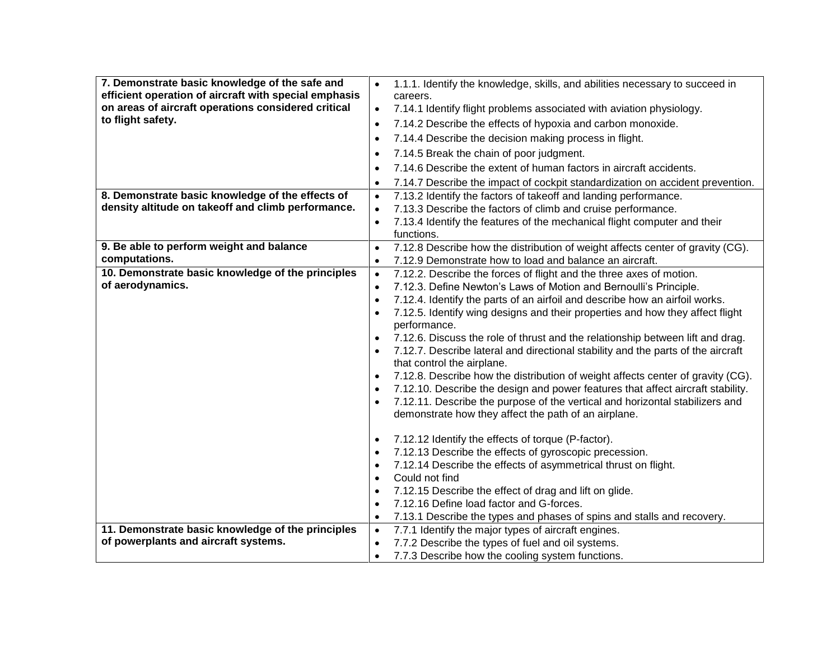| 7. Demonstrate basic knowledge of the safe and<br>efficient operation of aircraft with special emphasis<br>on areas of aircraft operations considered critical<br>to flight safety. | 1.1.1. Identify the knowledge, skills, and abilities necessary to succeed in<br>$\bullet$<br>careers.<br>7.14.1 Identify flight problems associated with aviation physiology.<br>$\bullet$<br>7.14.2 Describe the effects of hypoxia and carbon monoxide.<br>$\bullet$<br>7.14.4 Describe the decision making process in flight.<br>$\bullet$<br>7.14.5 Break the chain of poor judgment.<br>$\bullet$<br>7.14.6 Describe the extent of human factors in aircraft accidents.<br>$\bullet$                                                                                                                                                                                                                                                                                                                                                                                   |
|-------------------------------------------------------------------------------------------------------------------------------------------------------------------------------------|-----------------------------------------------------------------------------------------------------------------------------------------------------------------------------------------------------------------------------------------------------------------------------------------------------------------------------------------------------------------------------------------------------------------------------------------------------------------------------------------------------------------------------------------------------------------------------------------------------------------------------------------------------------------------------------------------------------------------------------------------------------------------------------------------------------------------------------------------------------------------------|
|                                                                                                                                                                                     | 7.14.7 Describe the impact of cockpit standardization on accident prevention.<br>$\bullet$                                                                                                                                                                                                                                                                                                                                                                                                                                                                                                                                                                                                                                                                                                                                                                                  |
| 8. Demonstrate basic knowledge of the effects of<br>density altitude on takeoff and climb performance.                                                                              | 7.13.2 Identify the factors of takeoff and landing performance.<br>$\bullet$<br>7.13.3 Describe the factors of climb and cruise performance.<br>$\bullet$<br>7.13.4 Identify the features of the mechanical flight computer and their<br>$\bullet$<br>functions.                                                                                                                                                                                                                                                                                                                                                                                                                                                                                                                                                                                                            |
| 9. Be able to perform weight and balance                                                                                                                                            | 7.12.8 Describe how the distribution of weight affects center of gravity (CG).<br>$\bullet$                                                                                                                                                                                                                                                                                                                                                                                                                                                                                                                                                                                                                                                                                                                                                                                 |
| computations.<br>10. Demonstrate basic knowledge of the principles                                                                                                                  | 7.12.9 Demonstrate how to load and balance an aircraft.<br>$\bullet$<br>7.12.2. Describe the forces of flight and the three axes of motion.                                                                                                                                                                                                                                                                                                                                                                                                                                                                                                                                                                                                                                                                                                                                 |
| of aerodynamics.                                                                                                                                                                    | $\bullet$<br>7.12.3. Define Newton's Laws of Motion and Bernoulli's Principle.<br>$\bullet$<br>7.12.4. Identify the parts of an airfoil and describe how an airfoil works.<br>$\bullet$<br>7.12.5. Identify wing designs and their properties and how they affect flight<br>$\bullet$<br>performance.<br>7.12.6. Discuss the role of thrust and the relationship between lift and drag.<br>$\bullet$<br>7.12.7. Describe lateral and directional stability and the parts of the aircraft<br>$\bullet$<br>that control the airplane.<br>7.12.8. Describe how the distribution of weight affects center of gravity (CG).<br>$\bullet$<br>7.12.10. Describe the design and power features that affect aircraft stability.<br>$\bullet$<br>7.12.11. Describe the purpose of the vertical and horizontal stabilizers and<br>demonstrate how they affect the path of an airplane. |
|                                                                                                                                                                                     | 7.12.12 Identify the effects of torque (P-factor).<br>$\bullet$<br>7.12.13 Describe the effects of gyroscopic precession.<br>$\bullet$<br>7.12.14 Describe the effects of asymmetrical thrust on flight.<br>$\bullet$<br>Could not find<br>$\bullet$<br>7.12.15 Describe the effect of drag and lift on glide.<br>$\bullet$<br>7.12.16 Define load factor and G-forces.<br>$\bullet$<br>7.13.1 Describe the types and phases of spins and stalls and recovery.<br>$\bullet$                                                                                                                                                                                                                                                                                                                                                                                                 |
| 11. Demonstrate basic knowledge of the principles<br>of powerplants and aircraft systems.                                                                                           | 7.7.1 Identify the major types of aircraft engines.<br>$\bullet$<br>7.7.2 Describe the types of fuel and oil systems.<br>$\bullet$<br>7.7.3 Describe how the cooling system functions.<br>$\bullet$                                                                                                                                                                                                                                                                                                                                                                                                                                                                                                                                                                                                                                                                         |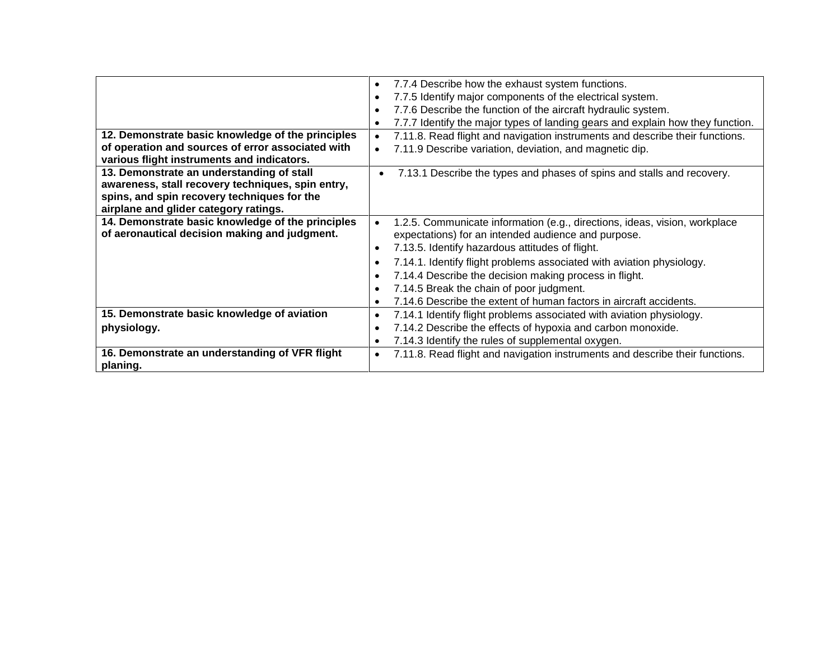| 12. Demonstrate basic knowledge of the principles<br>of operation and sources of error associated with<br>various flight instruments and indicators.                                   | 7.7.4 Describe how the exhaust system functions.<br>$\bullet$<br>7.7.5 Identify major components of the electrical system.<br>$\bullet$<br>7.7.6 Describe the function of the aircraft hydraulic system.<br>$\bullet$<br>7.7.7 Identify the major types of landing gears and explain how they function.<br>$\bullet$<br>7.11.8. Read flight and navigation instruments and describe their functions.<br>$\bullet$<br>7.11.9 Describe variation, deviation, and magnetic dip.<br>$\bullet$ |
|----------------------------------------------------------------------------------------------------------------------------------------------------------------------------------------|-------------------------------------------------------------------------------------------------------------------------------------------------------------------------------------------------------------------------------------------------------------------------------------------------------------------------------------------------------------------------------------------------------------------------------------------------------------------------------------------|
| 13. Demonstrate an understanding of stall<br>awareness, stall recovery techniques, spin entry,<br>spins, and spin recovery techniques for the<br>airplane and glider category ratings. | 7.13.1 Describe the types and phases of spins and stalls and recovery.                                                                                                                                                                                                                                                                                                                                                                                                                    |
| 14. Demonstrate basic knowledge of the principles<br>of aeronautical decision making and judgment.                                                                                     | 1.2.5. Communicate information (e.g., directions, ideas, vision, workplace<br>expectations) for an intended audience and purpose.<br>7.13.5. Identify hazardous attitudes of flight.<br>$\bullet$<br>7.14.1. Identify flight problems associated with aviation physiology.<br>$\bullet$<br>7.14.4 Describe the decision making process in flight.<br>$\bullet$                                                                                                                            |
|                                                                                                                                                                                        | 7.14.5 Break the chain of poor judgment.<br>$\bullet$<br>7.14.6 Describe the extent of human factors in aircraft accidents.<br>$\bullet$                                                                                                                                                                                                                                                                                                                                                  |
| 15. Demonstrate basic knowledge of aviation<br>physiology.                                                                                                                             | 7.14.1 Identify flight problems associated with aviation physiology.<br>$\bullet$<br>7.14.2 Describe the effects of hypoxia and carbon monoxide.<br>$\bullet$<br>7.14.3 Identify the rules of supplemental oxygen.<br>$\bullet$                                                                                                                                                                                                                                                           |
| 16. Demonstrate an understanding of VFR flight<br>planing.                                                                                                                             | 7.11.8. Read flight and navigation instruments and describe their functions.<br>$\bullet$                                                                                                                                                                                                                                                                                                                                                                                                 |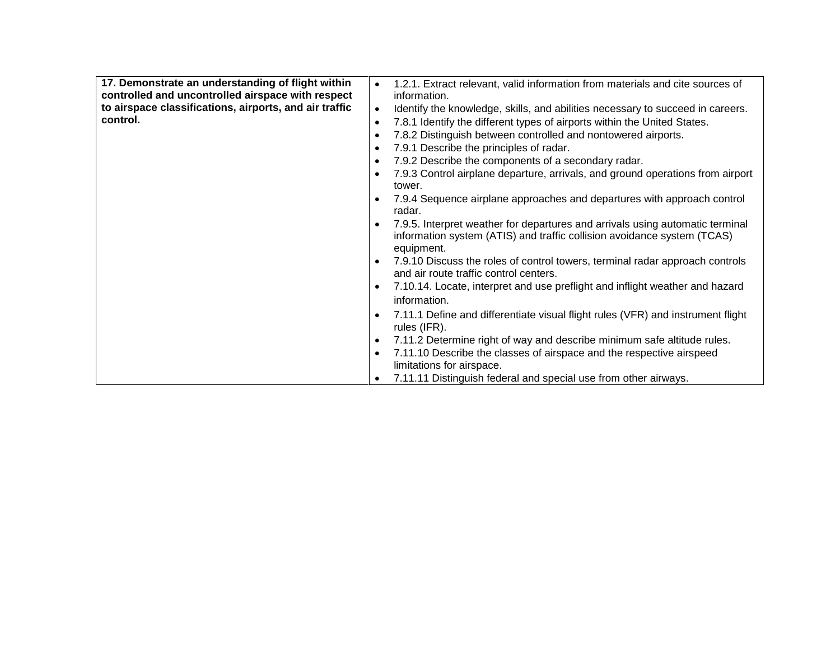| 17. Demonstrate an understanding of flight within      | 1.2.1. Extract relevant, valid information from materials and cite sources of<br>$\bullet$   |
|--------------------------------------------------------|----------------------------------------------------------------------------------------------|
| controlled and uncontrolled airspace with respect      | information.                                                                                 |
| to airspace classifications, airports, and air traffic | Identify the knowledge, skills, and abilities necessary to succeed in careers.<br>$\bullet$  |
| control.                                               | 7.8.1 Identify the different types of airports within the United States.<br>$\bullet$        |
|                                                        | 7.8.2 Distinguish between controlled and nontowered airports.<br>$\bullet$                   |
|                                                        | 7.9.1 Describe the principles of radar.<br>$\bullet$                                         |
|                                                        |                                                                                              |
|                                                        | 7.9.2 Describe the components of a secondary radar.<br>$\bullet$                             |
|                                                        | 7.9.3 Control airplane departure, arrivals, and ground operations from airport<br>$\bullet$  |
|                                                        | tower.                                                                                       |
|                                                        | 7.9.4 Sequence airplane approaches and departures with approach control<br>$\bullet$         |
|                                                        | radar.                                                                                       |
|                                                        | 7.9.5. Interpret weather for departures and arrivals using automatic terminal<br>$\bullet$   |
|                                                        | information system (ATIS) and traffic collision avoidance system (TCAS)                      |
|                                                        | equipment.                                                                                   |
|                                                        |                                                                                              |
|                                                        | 7.9.10 Discuss the roles of control towers, terminal radar approach controls<br>$\bullet$    |
|                                                        | and air route traffic control centers.                                                       |
|                                                        | 7.10.14. Locate, interpret and use preflight and inflight weather and hazard<br>$\bullet$    |
|                                                        | information.                                                                                 |
|                                                        | 7.11.1 Define and differentiate visual flight rules (VFR) and instrument flight<br>$\bullet$ |
|                                                        | rules (IFR).                                                                                 |
|                                                        |                                                                                              |
|                                                        | 7.11.2 Determine right of way and describe minimum safe altitude rules.<br>$\bullet$         |
|                                                        | 7.11.10 Describe the classes of airspace and the respective airspeed<br>$\bullet$            |
|                                                        | limitations for airspace.                                                                    |
|                                                        | 7.11.11 Distinguish federal and special use from other airways.                              |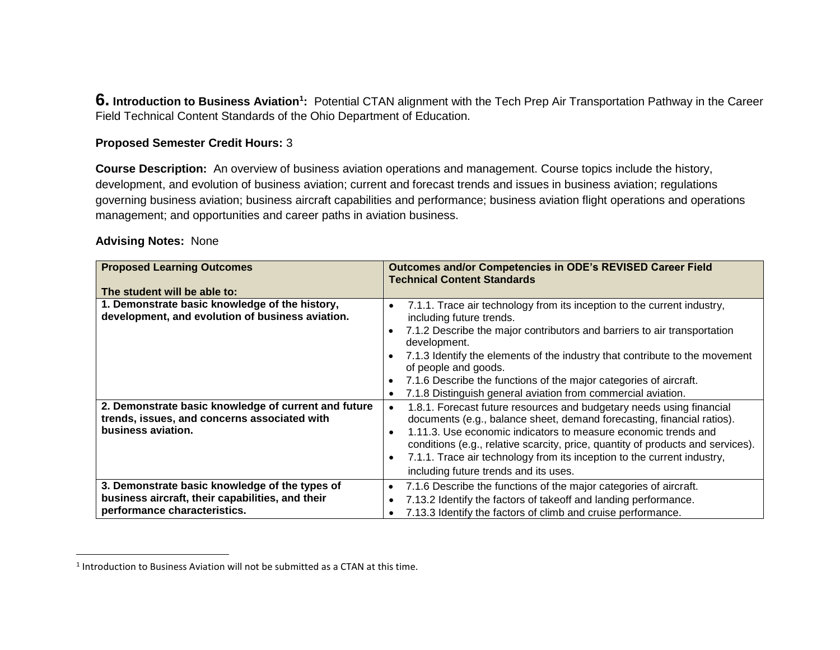**6.** Introduction to Business Aviation<sup>1</sup>: Potential CTAN alignment with the Tech Prep Air Transportation Pathway in the Career Field Technical Content Standards of the Ohio Department of Education.

# **Proposed Semester Credit Hours:** 3

**Course Description:** An overview of business aviation operations and management. Course topics include the history, development, and evolution of business aviation; current and forecast trends and issues in business aviation; regulations governing business aviation; business aircraft capabilities and performance; business aviation flight operations and operations management; and opportunities and career paths in aviation business.

# **Advising Notes:** None

 $\overline{\phantom{a}}$ 

| <b>Proposed Learning Outcomes</b>                                                                  | Outcomes and/or Competencies in ODE's REVISED Career Field<br><b>Technical Content Standards</b>                                                                                                                                                                                                                                                                                                                                                         |
|----------------------------------------------------------------------------------------------------|----------------------------------------------------------------------------------------------------------------------------------------------------------------------------------------------------------------------------------------------------------------------------------------------------------------------------------------------------------------------------------------------------------------------------------------------------------|
| The student will be able to:                                                                       |                                                                                                                                                                                                                                                                                                                                                                                                                                                          |
| 1. Demonstrate basic knowledge of the history,<br>development, and evolution of business aviation. | 7.1.1. Trace air technology from its inception to the current industry,<br>$\bullet$<br>including future trends.<br>7.1.2 Describe the major contributors and barriers to air transportation<br>development.<br>7.1.3 Identify the elements of the industry that contribute to the movement<br>of people and goods.<br>7.1.6 Describe the functions of the major categories of aircraft.<br>7.1.8 Distinguish general aviation from commercial aviation. |
| 2. Demonstrate basic knowledge of current and future                                               | 1.8.1. Forecast future resources and budgetary needs using financial<br>$\bullet$                                                                                                                                                                                                                                                                                                                                                                        |
| trends, issues, and concerns associated with                                                       | documents (e.g., balance sheet, demand forecasting, financial ratios).                                                                                                                                                                                                                                                                                                                                                                                   |
| business aviation.                                                                                 | 1.11.3. Use economic indicators to measure economic trends and<br>conditions (e.g., relative scarcity, price, quantity of products and services).<br>7.1.1. Trace air technology from its inception to the current industry,<br>including future trends and its uses.                                                                                                                                                                                    |
| 3. Demonstrate basic knowledge of the types of                                                     | 7.1.6 Describe the functions of the major categories of aircraft.                                                                                                                                                                                                                                                                                                                                                                                        |
| business aircraft, their capabilities, and their                                                   | 7.13.2 Identify the factors of takeoff and landing performance.                                                                                                                                                                                                                                                                                                                                                                                          |
| performance characteristics.                                                                       | 7.13.3 Identify the factors of climb and cruise performance.                                                                                                                                                                                                                                                                                                                                                                                             |

 $<sup>1</sup>$  Introduction to Business Aviation will not be submitted as a CTAN at this time.</sup>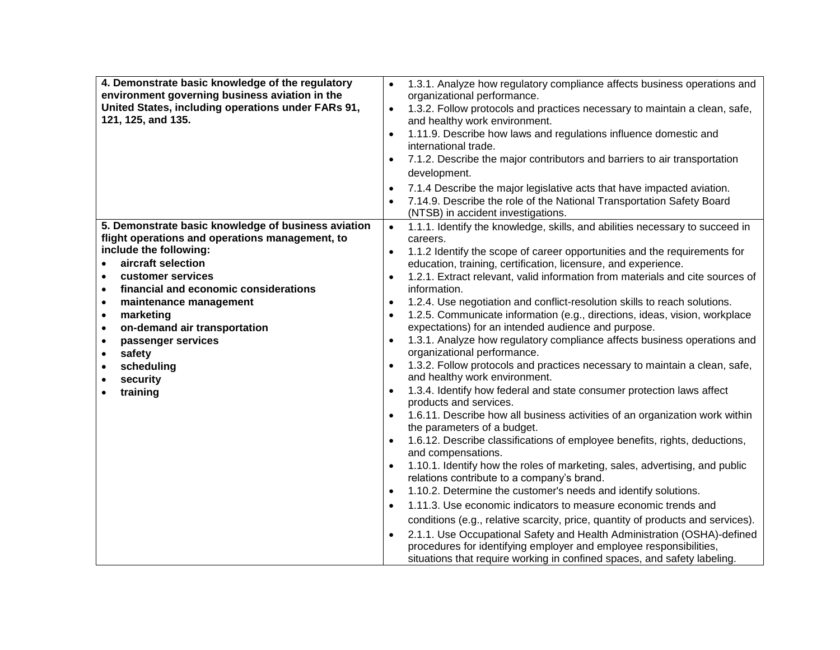| 4. Demonstrate basic knowledge of the regulatory<br>environment governing business aviation in the<br>United States, including operations under FARs 91,<br>121, 125, and 135. | 1.3.1. Analyze how regulatory compliance affects business operations and<br>$\bullet$<br>organizational performance.<br>1.3.2. Follow protocols and practices necessary to maintain a clean, safe,<br>$\bullet$<br>and healthy work environment.<br>1.11.9. Describe how laws and regulations influence domestic and<br>$\bullet$<br>international trade.<br>7.1.2. Describe the major contributors and barriers to air transportation<br>development.<br>7.1.4 Describe the major legislative acts that have impacted aviation.<br>$\bullet$<br>7.14.9. Describe the role of the National Transportation Safety Board<br>(NTSB) in accident investigations. |
|--------------------------------------------------------------------------------------------------------------------------------------------------------------------------------|--------------------------------------------------------------------------------------------------------------------------------------------------------------------------------------------------------------------------------------------------------------------------------------------------------------------------------------------------------------------------------------------------------------------------------------------------------------------------------------------------------------------------------------------------------------------------------------------------------------------------------------------------------------|
| 5. Demonstrate basic knowledge of business aviation                                                                                                                            | 1.1.1. Identify the knowledge, skills, and abilities necessary to succeed in<br>$\bullet$                                                                                                                                                                                                                                                                                                                                                                                                                                                                                                                                                                    |
| flight operations and operations management, to<br>include the following:                                                                                                      | careers.                                                                                                                                                                                                                                                                                                                                                                                                                                                                                                                                                                                                                                                     |
| aircraft selection<br>$\bullet$                                                                                                                                                | 1.1.2 Identify the scope of career opportunities and the requirements for<br>education, training, certification, licensure, and experience.                                                                                                                                                                                                                                                                                                                                                                                                                                                                                                                  |
| customer services<br>$\bullet$                                                                                                                                                 | 1.2.1. Extract relevant, valid information from materials and cite sources of                                                                                                                                                                                                                                                                                                                                                                                                                                                                                                                                                                                |
| financial and economic considerations<br>$\bullet$                                                                                                                             | information.                                                                                                                                                                                                                                                                                                                                                                                                                                                                                                                                                                                                                                                 |
| maintenance management<br>$\bullet$                                                                                                                                            | 1.2.4. Use negotiation and conflict-resolution skills to reach solutions.<br>$\bullet$                                                                                                                                                                                                                                                                                                                                                                                                                                                                                                                                                                       |
| marketing<br>$\bullet$                                                                                                                                                         | 1.2.5. Communicate information (e.g., directions, ideas, vision, workplace<br>$\bullet$                                                                                                                                                                                                                                                                                                                                                                                                                                                                                                                                                                      |
| on-demand air transportation<br>$\bullet$                                                                                                                                      | expectations) for an intended audience and purpose.                                                                                                                                                                                                                                                                                                                                                                                                                                                                                                                                                                                                          |
| passenger services<br>$\bullet$                                                                                                                                                | 1.3.1. Analyze how regulatory compliance affects business operations and<br>$\bullet$                                                                                                                                                                                                                                                                                                                                                                                                                                                                                                                                                                        |
| safety<br>$\bullet$                                                                                                                                                            | organizational performance.                                                                                                                                                                                                                                                                                                                                                                                                                                                                                                                                                                                                                                  |
| scheduling<br>$\bullet$<br>security                                                                                                                                            | 1.3.2. Follow protocols and practices necessary to maintain a clean, safe,<br>$\bullet$<br>and healthy work environment.                                                                                                                                                                                                                                                                                                                                                                                                                                                                                                                                     |
| training                                                                                                                                                                       | 1.3.4. Identify how federal and state consumer protection laws affect                                                                                                                                                                                                                                                                                                                                                                                                                                                                                                                                                                                        |
|                                                                                                                                                                                | products and services.                                                                                                                                                                                                                                                                                                                                                                                                                                                                                                                                                                                                                                       |
|                                                                                                                                                                                | 1.6.11. Describe how all business activities of an organization work within                                                                                                                                                                                                                                                                                                                                                                                                                                                                                                                                                                                  |
|                                                                                                                                                                                | the parameters of a budget.<br>1.6.12. Describe classifications of employee benefits, rights, deductions,                                                                                                                                                                                                                                                                                                                                                                                                                                                                                                                                                    |
|                                                                                                                                                                                | and compensations.                                                                                                                                                                                                                                                                                                                                                                                                                                                                                                                                                                                                                                           |
|                                                                                                                                                                                | 1.10.1. Identify how the roles of marketing, sales, advertising, and public                                                                                                                                                                                                                                                                                                                                                                                                                                                                                                                                                                                  |
|                                                                                                                                                                                | relations contribute to a company's brand.                                                                                                                                                                                                                                                                                                                                                                                                                                                                                                                                                                                                                   |
|                                                                                                                                                                                | 1.10.2. Determine the customer's needs and identify solutions.<br>$\bullet$                                                                                                                                                                                                                                                                                                                                                                                                                                                                                                                                                                                  |
|                                                                                                                                                                                | 1.11.3. Use economic indicators to measure economic trends and<br>$\bullet$                                                                                                                                                                                                                                                                                                                                                                                                                                                                                                                                                                                  |
|                                                                                                                                                                                | conditions (e.g., relative scarcity, price, quantity of products and services).                                                                                                                                                                                                                                                                                                                                                                                                                                                                                                                                                                              |
|                                                                                                                                                                                | 2.1.1. Use Occupational Safety and Health Administration (OSHA)-defined                                                                                                                                                                                                                                                                                                                                                                                                                                                                                                                                                                                      |
|                                                                                                                                                                                | procedures for identifying employer and employee responsibilities,                                                                                                                                                                                                                                                                                                                                                                                                                                                                                                                                                                                           |
|                                                                                                                                                                                | situations that require working in confined spaces, and safety labeling.                                                                                                                                                                                                                                                                                                                                                                                                                                                                                                                                                                                     |